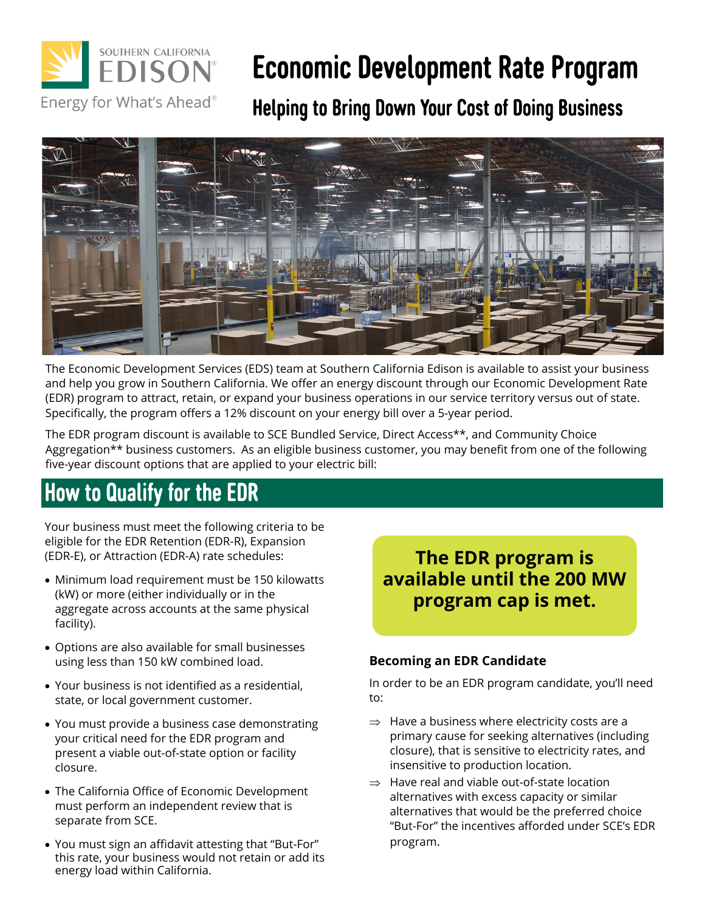

# Economic Development Rate Program

Helping to Bring Down Your Cost of Doing Business



The Economic Development Services (EDS) team at Southern California Edison is available to assist your business and help you grow in Southern California. We offer an energy discount through our Economic Development Rate (EDR) program to attract, retain, or expand your business operations in our service territory versus out of state. Specifically, the program offers a 12% discount on your energy bill over a 5-year period.

The EDR program discount is available to SCE Bundled Service, Direct Access\*\*, and Community Choice Aggregation\*\* business customers. As an eligible business customer, you may benefit from one of the following five-year discount options that are applied to your electric bill:

## How to Qualify for the EDR

Your business must meet the following criteria to be eligible for the EDR Retention (EDR-R), Expansion (EDR-E), or Attraction (EDR-A) rate schedules:

- Minimum load requirement must be 150 kilowatts (kW) or more (either individually or in the aggregate across accounts at the same physical facility).
- Options are also available for small businesses using less than 150 kW combined load.
- Your business is not identified as a residential, state, or local government customer.
- You must provide a business case demonstrating your critical need for the EDR program and present a viable out-of-state option or facility closure.
- The California Office of Economic Development must perform an independent review that is separate from SCE.
- You must sign an affidavit attesting that "But-For" this rate, your business would not retain or add its energy load within California.

## **The EDR program is available until the 200 MW program cap is met.**

#### **Becoming an EDR Candidate**

In order to be an EDR program candidate, you'll need to:

- $\Rightarrow$  Have a business where electricity costs are a primary cause for seeking alternatives (including closure), that is sensitive to electricity rates, and insensitive to production location.
- $\Rightarrow$  Have real and viable out-of-state location alternatives with excess capacity or similar alternatives that would be the preferred choice "But-For" the incentives afforded under SCE's EDR program.